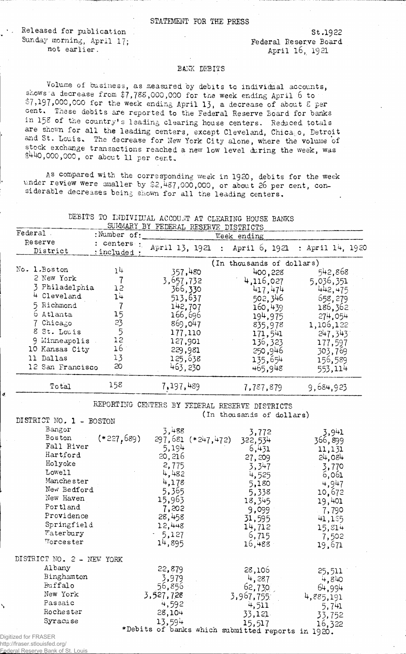## STATEMENT FOR THE PRESS

Released for publication **Released for publication** Sunday morning, April 17;<br>
not earlier.<br> **Sunday morning, April 17;**<br>  $\begin{array}{ccc} \text{Federal Reserve Board} \\ \text{April 16, 1921} \end{array}$ 

**April 16, 1921** 

## BANK DEBITS

Volume of business, as measured by debits to individual accounts, snows a decrease from \$7,788,000,000 for the week ending April 6 to  $$7,197,000,000$  for the week ending April 13, a decrease of about  $$$  per **cent. Tnese debits are reported to the Federal Reserve Board for banks** in 158 of the country's leading clearing house centers. Reduced totals are shown for all the leading centers, except Cleveland, Chica<sub>s</sub>o, Detroit and St. Louis. The decrease for New York City alone, where the volume of stock exchange transactions reached a new low level during the week, was **\$4-40,000,000 , or a b o u t** 11 **per cent.**

As compared with the corresponding week in 1920, debits for the week under review were smaller by \$2,487,000,000, or about 26 per cent, considerable decreases being shown for all the leading centers.

| DEBITS TO INDIVIIUAL ACCOUNT AT CLEARING HOUSE BANKS |  |                                      |  |  |  |
|------------------------------------------------------|--|--------------------------------------|--|--|--|
|                                                      |  | SUMMARY BY FEDERAL RESERVE DISTRICTS |  |  |  |

| Federal |                     | :Number of:                 | Week ending               |               |                  |  |
|---------|---------------------|-----------------------------|---------------------------|---------------|------------------|--|
|         | Reserve<br>District | : centers :<br>: included : | April 13, 1921 :          | April 6, 1921 | : April 14, 1920 |  |
|         |                     |                             | (In thousands of dollars) |               |                  |  |
|         | No. 1. Boston       | 14                          | 357,480                   | 400,228       | 542,868          |  |
|         | 2 New York          |                             | 3,657,732                 | 4,116,027     | 5,036,351        |  |
|         | 3 Philadelphia      | 15                          | 366,330                   | 417,474       | 442,475          |  |
|         | 4 Cleveland         | 14                          | 513,637                   | 502,346       | 658,279          |  |
|         | 5 Richmond          |                             | 142,707                   | 160,439       | 186,362          |  |
|         | 6 Atlanta           | 15                          | 166,696                   | 194,975       | 274,054          |  |
|         | 7 Chicago           | 23                          | 869,047                   | 835,978       | 1,106,122        |  |
|         | 8 St. Louis         | 5                           | 177,110                   | 171,541       | 247,343          |  |
|         | 9 Minneapolis       | 12                          | 127,901                   | 136,323       | 177,597          |  |
|         | 10 Kansas City      | 16                          | 229,981                   | 250,946       | 303,769          |  |
|         | 11 Dallas           | 13                          | 125,638                   | 135,654       | 156,589          |  |
|         | 12 San Francisco    | 20                          | 463,230                   | 465,948       | 553,114          |  |
|         | Total               | 158                         | 7,197,489                 | 7,787,879     | 9,684,923        |  |

**REPORTING CENTERS BY FEDERAL RESERVE DISTRICTS (In thousands of dollars)**

|              | DISTRICT NO. 1 - BOSTON   |           | (in prodective of actions)                        |           |
|--------------|---------------------------|-----------|---------------------------------------------------|-----------|
|              | Bangor                    | 3,488     | 3,772                                             | 3,941     |
|              | $(*227,689)$<br>Boston    |           | 297,681 (*247,472)<br>322,534                     | 366,899   |
|              | Fall River                | 5,194     | 6,431                                             | 11,131    |
|              | Hartford                  | 20, 216   | 27,209                                            | 24,084    |
|              | Holyoke                   | 2,775     | 3,347                                             | 3,770     |
|              | Lowell                    | 4,482     | 4,525                                             | 6,061     |
|              | Manchester                | 4,178     | 5,180                                             | 4,947     |
|              | New Bedford               | 5,365     | 5,338                                             | 10,672    |
|              | New Haven                 | 15,963    | 18,345                                            | 19,401    |
|              | Portland                  | 7,202     | 9,099                                             | $-7,790$  |
|              | Providence                | 28,458    | 31,595                                            | 41,185    |
|              | Springfield               | 12,448    | 14,712                                            | 15,814    |
|              | Waterbury                 | $-5,127$  | 6,715                                             | 7,502     |
|              | Worcester                 | 14,895    | 16,488                                            | 19,671    |
|              | DISTRICT NO. 2 - NEW YORK |           |                                                   |           |
|              | Albany                    | 22,879    | 28,106                                            | 25,511    |
|              | Binghamton                | 3,979     | 4,287                                             | 4,840     |
|              | Buffalo                   | 56,856    | 62,730                                            | 64,994    |
|              | New York                  | 3,527,728 | 3,967,755                                         | 4,885,191 |
| $\checkmark$ | Passaic                   | 4,592     | 4,511                                             | 5,741     |
|              | Rochester                 | 28,104    | 33,121                                            | 33,752    |
|              | Syracuse                  | 13,594    | 15,517                                            | 16,322    |
|              |                           |           | *Debits of banks which submitted reports in 1920. |           |
|              | Digitized for FRASER      |           |                                                   |           |
|              |                           |           |                                                   |           |

http://fraser.stlouisfed.org/

deral Reserve Bank of St. Louis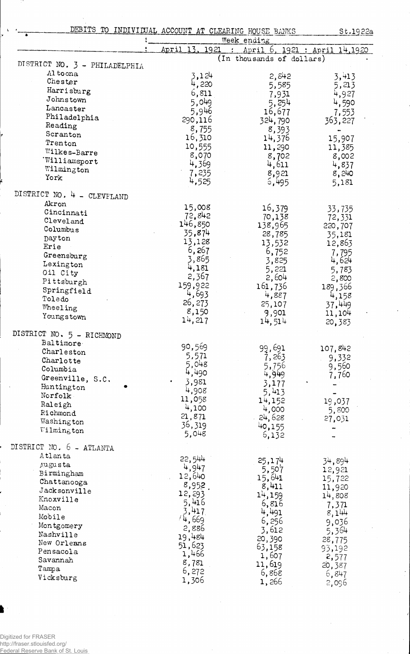| DEBITS TO INDIVIDUAL ACCOUNT AT CLEARING HOUSE BANKS |
|------------------------------------------------------|
|------------------------------------------------------|

St.1922a

 $\frac{1}{2}$ 

|                               |                | Week ending               |                                      |
|-------------------------------|----------------|---------------------------|--------------------------------------|
|                               | April 13, 1921 | $\sim 200$                | <u>April 6, 1921 : April 14,1920</u> |
|                               |                | (In thousands of dollars) |                                      |
| DISTRICT NO. 3 - PHILADELPHIA |                |                           |                                      |
| Al toona                      | 3,124          | 2,842                     | 3,413                                |
| Chester                       | 4,220          | 5,585                     | 5,213                                |
| Harrisburg                    | 6,811          | 7,931                     | 4,927                                |
| Johnstown                     | 5,049          | 5,254                     | 4,590                                |
| Lancaster                     | 5,946          | 16,677                    | 7,553                                |
| Philadelphia                  | 290,116        | 324,790                   |                                      |
| Reading                       |                |                           | 363,227                              |
| Scranton                      | 8,755          | 8,393                     |                                      |
| Trenton                       | 16,310         | 14,376                    | 15,907                               |
| Wilkes-Barre                  | 10,555         | 11,290                    | 11,385                               |
| Williamsport                  | 8,070          | 8,702                     | 8,002                                |
|                               | 4,369          | 4,611                     | 4,837                                |
| Wilmington                    | 7,235          | 8,921                     | 8,240                                |
| York                          | 4,525          | 5,495                     | 5,181                                |
|                               |                |                           |                                      |
| DISTRICT NO. 4 - CLEVFLAND    |                |                           |                                      |
| Akron                         | 15,008         | 16,379                    | 33,735                               |
| Cincinnati                    | 72,842         | 70,138                    |                                      |
| Cleveland                     | 146,850        |                           | 72,331                               |
| Columbus                      |                | 138,965                   | 220,707                              |
| Dayton                        | 35,874         | 28,785                    | 35,181                               |
| Erie                          | 13,128         | 13,532                    | 12,863                               |
| Greensburg                    | 6,267          | 6,752                     | 7,795                                |
| Lexington                     | 3,865          | 3,825                     | 4,624                                |
|                               | 4,181          | 5,221                     | 5,783                                |
| Oil City                      | 2,367          | 2,604                     | 2,800                                |
| Pittsburgh                    | 159,922        | 161,736                   | 189,366                              |
| Springfield                   | 4,693          | 4,887                     |                                      |
| Toledo                        | 26,273         |                           | 4,158                                |
| Wheeling                      |                | 25,107                    | 37,449                               |
| Youngstown                    | 8,150          | 9,901                     | 11,104                               |
|                               | 14,217         | 14,514                    | 20,383                               |
| DISTRICT NO. 5 - RICHMOND     |                |                           |                                      |
| Baltimore                     |                |                           |                                      |
| Charleston                    | 90,569         | 99,691                    | 107,842                              |
| Charlotte                     | 5,571          | 7,263                     | 9,332                                |
|                               | 5,048          | 5,756                     | 9,560                                |
| Columbia                      | 4,490          | 4,949                     | 7,760                                |
| Greenville, S.C.              | 3,981          | 3,177                     |                                      |
| Huntington                    | 4,908          | 5,413                     |                                      |
| Norfolk                       | 11,058         |                           |                                      |
| Raleigh                       | 4,100          | 14,152                    | 19,037                               |
| Richmond                      |                | 4,000                     | 5,800                                |
| Washington                    | 21,871         | 24,628                    | 27,031                               |
| Wilmington                    | 36,319         | 40,155                    |                                      |
|                               | 5,048          | 6,132                     |                                      |
| DISTRICT NO. 6 - ATLANTA      |                |                           |                                      |
| Atlanta                       |                |                           |                                      |
| Augusta                       | 22,544         | 25,174                    | 34,894                               |
|                               | 4,947          | 5,507                     | 12,921                               |
| Birmingham                    | 12,640         | 15,641                    | 15,722                               |
| Chattanooga                   | 8,952          | 8,411                     | 11,920                               |
| Jacksonville                  | 12,293         | 14,159                    | 14,808                               |
| Knoxville                     | 5,416          | 6,816                     |                                      |
| Macon                         | 3,417          | 4,491                     | 7,371                                |
| Mobile                        | /4,669         |                           | 8,144                                |
| Montgomery                    |                | 6,256                     | 9,036                                |
| Nashville                     | 2,886          | 3,612                     | 5,364                                |
| New Orleans                   | 19,484         | 20,390                    | 28,775                               |
| Pensacola                     | 51,623         | 63,158                    | 93,192                               |
|                               | 1,466          | 1,607                     | 2,577                                |
| Savannah                      | 8,781          | 11,619                    | 20,387                               |
| Tampa                         | 6,272          | 6,868                     | 6,847                                |
| Vicksburg                     | 1,306          | 1,266                     | 2,096                                |
|                               |                |                           |                                      |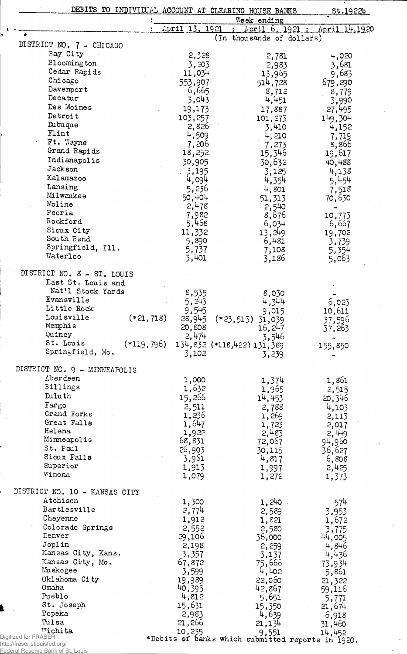| April 13, 1921<br>April 6, 1921 :<br>April 14,1920<br>$\bullet$<br>(In thousands of dollars)<br>DISTRICT NO. 7 - CHICAGO<br>Bay City<br>2,328<br>2,781<br>4,020<br>Blooming ton<br>3,203<br>3,681<br>2,983<br>Cedar Rapids<br>11,034<br>9,683<br>13,965<br>Chicago<br>553,907<br>514,728<br>679,290<br>Davenport<br>6,665<br>8,712<br>8,779<br>Decatur<br>3,043<br>4,451<br>3,990<br>Des Moines<br>19,173<br>27,495<br>17,887<br>Detroit<br>103,257<br>149,304<br>101,273<br>Dubuque<br>2,826<br>4,152<br>3,410<br>Flint<br>4,509<br>4, 210<br>7,719<br>Ft. Wayne<br>7,206<br>8,866<br>7,273<br>Grand Rapids<br>18,252<br>19,617<br>15,346<br>Indianapolis<br>30,905<br>30,632<br>40,488<br>Jackson<br>3,195<br>3,125<br>4,138<br>Kalamazoo<br>5,454<br>4,094<br>4,354<br>Lansing<br>5,236<br>4,801<br>7,518<br>Milwaukee<br>50,404<br>51,313<br>70,530<br>Moline<br>2,478<br>2,540<br>Peoria<br>7,982<br>8,676<br>10,773<br>Rockford<br>5,468<br>6,034<br>6,667<br>Sioux City<br>11,332<br>13,249<br>19,702<br>South Bend<br>5,890<br>6,481<br>3,739<br>Springfield, Ill.<br>5,737<br>7,108<br>5,354<br>Waterloo<br>3,401<br>3,186<br>5,063<br>DISTRICT NO. 8 - ST. LOUIS<br>East St. Louis and<br>Nat'l Stock Yards<br>8,535<br>8,030<br>Evansville<br>5,243<br>4,344<br>6,023<br>Little Rock<br>9,545<br>9,015<br>10,611<br>Louisville<br>$(*21,718)$<br>28,945<br>(* 23, 513)<br>31,039<br>37,596<br>Memphis<br>20,808<br>16,247<br>37,263<br>Quincy<br>2,474<br>3,546<br>St. Louis<br>$(*119,796)$<br>134,832 (*118,422) 131,389<br>155,850<br>Springfield, Mo.<br>3,102<br>3,239<br>DISTRICT NC. 9 - MINNEAPOLIS<br>Aberdeen<br>1,000<br>1,374<br>1,861<br>Billings<br>1,632<br>1,965<br>2,515<br>Duluth<br>15,266<br>14,453<br>20,346<br>Fargo<br>2,511<br>4,103<br>2,788<br>Grand Forks<br>1,236<br>1,269<br>2,113<br>Great Falls<br>1,647<br>1,723<br>2,017<br>Helena<br>1,922<br>2,483<br>2,449<br>Minneapolis<br>68,831<br>72,067<br>94,960<br>St. Paul<br>26,903<br>36,627<br>30,115<br>Sioux Falls.<br>3,961<br>4,817<br>6,808<br>Superior<br>1,913<br>2,425<br>1,997<br>Winona<br>1,079<br>1,272<br>1,373<br>DISTRICT NO. 10 - KANSAS CITY<br>Atchison<br>1,240<br>1,300<br>574<br>Bartlesville<br>2,774<br>3,953<br>2,589<br>Cheyenne<br>1,912<br>1,821<br>1,672<br>Colorado Springs<br>2,552<br>2,580<br>3,775<br>Denver<br>29,106<br>36,000<br>44,005<br>Joplin<br>2,198<br>4,846<br>2,259<br>Kansas City, Kans.<br>3,357<br>4,436<br>3,137<br>Kansas City, Mo.<br>67,872<br>75,666<br>73,934<br>Muskogee<br>4,402<br>3,599<br>5,861<br>Oklahoma City<br>19,989<br>22,060<br>21,322<br>Omaha<br>40,395<br>42,867<br>59,116<br>Pueblo<br>4,812<br>5,651<br>5,771<br>15,631<br>St. Joseph<br>21,674<br>15,350<br>Topeka<br>2,983<br>4,639<br>6,918<br>Tulsa<br>21,266<br>21,134<br>31,460<br>Wichita<br>10,235<br>9,551<br>14,452<br>*Debits of banks which submitted reports in 1920.<br>/fraser.stlouisfed.org/ |                | DEBITS TO INDIVILUAL ACCOUNT AT CLEARING HOUSE BANKS | St.1922b |
|----------------------------------------------------------------------------------------------------------------------------------------------------------------------------------------------------------------------------------------------------------------------------------------------------------------------------------------------------------------------------------------------------------------------------------------------------------------------------------------------------------------------------------------------------------------------------------------------------------------------------------------------------------------------------------------------------------------------------------------------------------------------------------------------------------------------------------------------------------------------------------------------------------------------------------------------------------------------------------------------------------------------------------------------------------------------------------------------------------------------------------------------------------------------------------------------------------------------------------------------------------------------------------------------------------------------------------------------------------------------------------------------------------------------------------------------------------------------------------------------------------------------------------------------------------------------------------------------------------------------------------------------------------------------------------------------------------------------------------------------------------------------------------------------------------------------------------------------------------------------------------------------------------------------------------------------------------------------------------------------------------------------------------------------------------------------------------------------------------------------------------------------------------------------------------------------------------------------------------------------------------------------------------------------------------------------------------------------------------------------------------------------------------------------------------------------------------------------------------------------------------------------------------------------------------------------------------------------------------------------------------------------------------------------------------------------------------------------------------------------------------------------------------------------------------------------------------------------------------------------------------------------------------------------------------|----------------|------------------------------------------------------|----------|
|                                                                                                                                                                                                                                                                                                                                                                                                                                                                                                                                                                                                                                                                                                                                                                                                                                                                                                                                                                                                                                                                                                                                                                                                                                                                                                                                                                                                                                                                                                                                                                                                                                                                                                                                                                                                                                                                                                                                                                                                                                                                                                                                                                                                                                                                                                                                                                                                                                                                                                                                                                                                                                                                                                                                                                                                                                                                                                                                  |                | Week ending                                          |          |
|                                                                                                                                                                                                                                                                                                                                                                                                                                                                                                                                                                                                                                                                                                                                                                                                                                                                                                                                                                                                                                                                                                                                                                                                                                                                                                                                                                                                                                                                                                                                                                                                                                                                                                                                                                                                                                                                                                                                                                                                                                                                                                                                                                                                                                                                                                                                                                                                                                                                                                                                                                                                                                                                                                                                                                                                                                                                                                                                  |                |                                                      |          |
|                                                                                                                                                                                                                                                                                                                                                                                                                                                                                                                                                                                                                                                                                                                                                                                                                                                                                                                                                                                                                                                                                                                                                                                                                                                                                                                                                                                                                                                                                                                                                                                                                                                                                                                                                                                                                                                                                                                                                                                                                                                                                                                                                                                                                                                                                                                                                                                                                                                                                                                                                                                                                                                                                                                                                                                                                                                                                                                                  |                |                                                      |          |
|                                                                                                                                                                                                                                                                                                                                                                                                                                                                                                                                                                                                                                                                                                                                                                                                                                                                                                                                                                                                                                                                                                                                                                                                                                                                                                                                                                                                                                                                                                                                                                                                                                                                                                                                                                                                                                                                                                                                                                                                                                                                                                                                                                                                                                                                                                                                                                                                                                                                                                                                                                                                                                                                                                                                                                                                                                                                                                                                  |                |                                                      |          |
|                                                                                                                                                                                                                                                                                                                                                                                                                                                                                                                                                                                                                                                                                                                                                                                                                                                                                                                                                                                                                                                                                                                                                                                                                                                                                                                                                                                                                                                                                                                                                                                                                                                                                                                                                                                                                                                                                                                                                                                                                                                                                                                                                                                                                                                                                                                                                                                                                                                                                                                                                                                                                                                                                                                                                                                                                                                                                                                                  |                |                                                      |          |
|                                                                                                                                                                                                                                                                                                                                                                                                                                                                                                                                                                                                                                                                                                                                                                                                                                                                                                                                                                                                                                                                                                                                                                                                                                                                                                                                                                                                                                                                                                                                                                                                                                                                                                                                                                                                                                                                                                                                                                                                                                                                                                                                                                                                                                                                                                                                                                                                                                                                                                                                                                                                                                                                                                                                                                                                                                                                                                                                  |                |                                                      |          |
|                                                                                                                                                                                                                                                                                                                                                                                                                                                                                                                                                                                                                                                                                                                                                                                                                                                                                                                                                                                                                                                                                                                                                                                                                                                                                                                                                                                                                                                                                                                                                                                                                                                                                                                                                                                                                                                                                                                                                                                                                                                                                                                                                                                                                                                                                                                                                                                                                                                                                                                                                                                                                                                                                                                                                                                                                                                                                                                                  |                |                                                      |          |
|                                                                                                                                                                                                                                                                                                                                                                                                                                                                                                                                                                                                                                                                                                                                                                                                                                                                                                                                                                                                                                                                                                                                                                                                                                                                                                                                                                                                                                                                                                                                                                                                                                                                                                                                                                                                                                                                                                                                                                                                                                                                                                                                                                                                                                                                                                                                                                                                                                                                                                                                                                                                                                                                                                                                                                                                                                                                                                                                  |                |                                                      |          |
|                                                                                                                                                                                                                                                                                                                                                                                                                                                                                                                                                                                                                                                                                                                                                                                                                                                                                                                                                                                                                                                                                                                                                                                                                                                                                                                                                                                                                                                                                                                                                                                                                                                                                                                                                                                                                                                                                                                                                                                                                                                                                                                                                                                                                                                                                                                                                                                                                                                                                                                                                                                                                                                                                                                                                                                                                                                                                                                                  |                |                                                      |          |
|                                                                                                                                                                                                                                                                                                                                                                                                                                                                                                                                                                                                                                                                                                                                                                                                                                                                                                                                                                                                                                                                                                                                                                                                                                                                                                                                                                                                                                                                                                                                                                                                                                                                                                                                                                                                                                                                                                                                                                                                                                                                                                                                                                                                                                                                                                                                                                                                                                                                                                                                                                                                                                                                                                                                                                                                                                                                                                                                  |                |                                                      |          |
|                                                                                                                                                                                                                                                                                                                                                                                                                                                                                                                                                                                                                                                                                                                                                                                                                                                                                                                                                                                                                                                                                                                                                                                                                                                                                                                                                                                                                                                                                                                                                                                                                                                                                                                                                                                                                                                                                                                                                                                                                                                                                                                                                                                                                                                                                                                                                                                                                                                                                                                                                                                                                                                                                                                                                                                                                                                                                                                                  |                |                                                      |          |
|                                                                                                                                                                                                                                                                                                                                                                                                                                                                                                                                                                                                                                                                                                                                                                                                                                                                                                                                                                                                                                                                                                                                                                                                                                                                                                                                                                                                                                                                                                                                                                                                                                                                                                                                                                                                                                                                                                                                                                                                                                                                                                                                                                                                                                                                                                                                                                                                                                                                                                                                                                                                                                                                                                                                                                                                                                                                                                                                  |                |                                                      |          |
|                                                                                                                                                                                                                                                                                                                                                                                                                                                                                                                                                                                                                                                                                                                                                                                                                                                                                                                                                                                                                                                                                                                                                                                                                                                                                                                                                                                                                                                                                                                                                                                                                                                                                                                                                                                                                                                                                                                                                                                                                                                                                                                                                                                                                                                                                                                                                                                                                                                                                                                                                                                                                                                                                                                                                                                                                                                                                                                                  |                |                                                      |          |
|                                                                                                                                                                                                                                                                                                                                                                                                                                                                                                                                                                                                                                                                                                                                                                                                                                                                                                                                                                                                                                                                                                                                                                                                                                                                                                                                                                                                                                                                                                                                                                                                                                                                                                                                                                                                                                                                                                                                                                                                                                                                                                                                                                                                                                                                                                                                                                                                                                                                                                                                                                                                                                                                                                                                                                                                                                                                                                                                  |                |                                                      |          |
|                                                                                                                                                                                                                                                                                                                                                                                                                                                                                                                                                                                                                                                                                                                                                                                                                                                                                                                                                                                                                                                                                                                                                                                                                                                                                                                                                                                                                                                                                                                                                                                                                                                                                                                                                                                                                                                                                                                                                                                                                                                                                                                                                                                                                                                                                                                                                                                                                                                                                                                                                                                                                                                                                                                                                                                                                                                                                                                                  |                |                                                      |          |
|                                                                                                                                                                                                                                                                                                                                                                                                                                                                                                                                                                                                                                                                                                                                                                                                                                                                                                                                                                                                                                                                                                                                                                                                                                                                                                                                                                                                                                                                                                                                                                                                                                                                                                                                                                                                                                                                                                                                                                                                                                                                                                                                                                                                                                                                                                                                                                                                                                                                                                                                                                                                                                                                                                                                                                                                                                                                                                                                  |                |                                                      |          |
|                                                                                                                                                                                                                                                                                                                                                                                                                                                                                                                                                                                                                                                                                                                                                                                                                                                                                                                                                                                                                                                                                                                                                                                                                                                                                                                                                                                                                                                                                                                                                                                                                                                                                                                                                                                                                                                                                                                                                                                                                                                                                                                                                                                                                                                                                                                                                                                                                                                                                                                                                                                                                                                                                                                                                                                                                                                                                                                                  |                |                                                      |          |
|                                                                                                                                                                                                                                                                                                                                                                                                                                                                                                                                                                                                                                                                                                                                                                                                                                                                                                                                                                                                                                                                                                                                                                                                                                                                                                                                                                                                                                                                                                                                                                                                                                                                                                                                                                                                                                                                                                                                                                                                                                                                                                                                                                                                                                                                                                                                                                                                                                                                                                                                                                                                                                                                                                                                                                                                                                                                                                                                  |                |                                                      |          |
|                                                                                                                                                                                                                                                                                                                                                                                                                                                                                                                                                                                                                                                                                                                                                                                                                                                                                                                                                                                                                                                                                                                                                                                                                                                                                                                                                                                                                                                                                                                                                                                                                                                                                                                                                                                                                                                                                                                                                                                                                                                                                                                                                                                                                                                                                                                                                                                                                                                                                                                                                                                                                                                                                                                                                                                                                                                                                                                                  |                |                                                      |          |
|                                                                                                                                                                                                                                                                                                                                                                                                                                                                                                                                                                                                                                                                                                                                                                                                                                                                                                                                                                                                                                                                                                                                                                                                                                                                                                                                                                                                                                                                                                                                                                                                                                                                                                                                                                                                                                                                                                                                                                                                                                                                                                                                                                                                                                                                                                                                                                                                                                                                                                                                                                                                                                                                                                                                                                                                                                                                                                                                  |                |                                                      |          |
|                                                                                                                                                                                                                                                                                                                                                                                                                                                                                                                                                                                                                                                                                                                                                                                                                                                                                                                                                                                                                                                                                                                                                                                                                                                                                                                                                                                                                                                                                                                                                                                                                                                                                                                                                                                                                                                                                                                                                                                                                                                                                                                                                                                                                                                                                                                                                                                                                                                                                                                                                                                                                                                                                                                                                                                                                                                                                                                                  |                |                                                      |          |
|                                                                                                                                                                                                                                                                                                                                                                                                                                                                                                                                                                                                                                                                                                                                                                                                                                                                                                                                                                                                                                                                                                                                                                                                                                                                                                                                                                                                                                                                                                                                                                                                                                                                                                                                                                                                                                                                                                                                                                                                                                                                                                                                                                                                                                                                                                                                                                                                                                                                                                                                                                                                                                                                                                                                                                                                                                                                                                                                  |                |                                                      |          |
|                                                                                                                                                                                                                                                                                                                                                                                                                                                                                                                                                                                                                                                                                                                                                                                                                                                                                                                                                                                                                                                                                                                                                                                                                                                                                                                                                                                                                                                                                                                                                                                                                                                                                                                                                                                                                                                                                                                                                                                                                                                                                                                                                                                                                                                                                                                                                                                                                                                                                                                                                                                                                                                                                                                                                                                                                                                                                                                                  |                |                                                      |          |
|                                                                                                                                                                                                                                                                                                                                                                                                                                                                                                                                                                                                                                                                                                                                                                                                                                                                                                                                                                                                                                                                                                                                                                                                                                                                                                                                                                                                                                                                                                                                                                                                                                                                                                                                                                                                                                                                                                                                                                                                                                                                                                                                                                                                                                                                                                                                                                                                                                                                                                                                                                                                                                                                                                                                                                                                                                                                                                                                  |                |                                                      |          |
|                                                                                                                                                                                                                                                                                                                                                                                                                                                                                                                                                                                                                                                                                                                                                                                                                                                                                                                                                                                                                                                                                                                                                                                                                                                                                                                                                                                                                                                                                                                                                                                                                                                                                                                                                                                                                                                                                                                                                                                                                                                                                                                                                                                                                                                                                                                                                                                                                                                                                                                                                                                                                                                                                                                                                                                                                                                                                                                                  |                |                                                      |          |
|                                                                                                                                                                                                                                                                                                                                                                                                                                                                                                                                                                                                                                                                                                                                                                                                                                                                                                                                                                                                                                                                                                                                                                                                                                                                                                                                                                                                                                                                                                                                                                                                                                                                                                                                                                                                                                                                                                                                                                                                                                                                                                                                                                                                                                                                                                                                                                                                                                                                                                                                                                                                                                                                                                                                                                                                                                                                                                                                  |                |                                                      |          |
|                                                                                                                                                                                                                                                                                                                                                                                                                                                                                                                                                                                                                                                                                                                                                                                                                                                                                                                                                                                                                                                                                                                                                                                                                                                                                                                                                                                                                                                                                                                                                                                                                                                                                                                                                                                                                                                                                                                                                                                                                                                                                                                                                                                                                                                                                                                                                                                                                                                                                                                                                                                                                                                                                                                                                                                                                                                                                                                                  |                |                                                      |          |
|                                                                                                                                                                                                                                                                                                                                                                                                                                                                                                                                                                                                                                                                                                                                                                                                                                                                                                                                                                                                                                                                                                                                                                                                                                                                                                                                                                                                                                                                                                                                                                                                                                                                                                                                                                                                                                                                                                                                                                                                                                                                                                                                                                                                                                                                                                                                                                                                                                                                                                                                                                                                                                                                                                                                                                                                                                                                                                                                  |                |                                                      |          |
|                                                                                                                                                                                                                                                                                                                                                                                                                                                                                                                                                                                                                                                                                                                                                                                                                                                                                                                                                                                                                                                                                                                                                                                                                                                                                                                                                                                                                                                                                                                                                                                                                                                                                                                                                                                                                                                                                                                                                                                                                                                                                                                                                                                                                                                                                                                                                                                                                                                                                                                                                                                                                                                                                                                                                                                                                                                                                                                                  |                |                                                      |          |
|                                                                                                                                                                                                                                                                                                                                                                                                                                                                                                                                                                                                                                                                                                                                                                                                                                                                                                                                                                                                                                                                                                                                                                                                                                                                                                                                                                                                                                                                                                                                                                                                                                                                                                                                                                                                                                                                                                                                                                                                                                                                                                                                                                                                                                                                                                                                                                                                                                                                                                                                                                                                                                                                                                                                                                                                                                                                                                                                  |                |                                                      |          |
|                                                                                                                                                                                                                                                                                                                                                                                                                                                                                                                                                                                                                                                                                                                                                                                                                                                                                                                                                                                                                                                                                                                                                                                                                                                                                                                                                                                                                                                                                                                                                                                                                                                                                                                                                                                                                                                                                                                                                                                                                                                                                                                                                                                                                                                                                                                                                                                                                                                                                                                                                                                                                                                                                                                                                                                                                                                                                                                                  |                |                                                      |          |
|                                                                                                                                                                                                                                                                                                                                                                                                                                                                                                                                                                                                                                                                                                                                                                                                                                                                                                                                                                                                                                                                                                                                                                                                                                                                                                                                                                                                                                                                                                                                                                                                                                                                                                                                                                                                                                                                                                                                                                                                                                                                                                                                                                                                                                                                                                                                                                                                                                                                                                                                                                                                                                                                                                                                                                                                                                                                                                                                  |                |                                                      |          |
|                                                                                                                                                                                                                                                                                                                                                                                                                                                                                                                                                                                                                                                                                                                                                                                                                                                                                                                                                                                                                                                                                                                                                                                                                                                                                                                                                                                                                                                                                                                                                                                                                                                                                                                                                                                                                                                                                                                                                                                                                                                                                                                                                                                                                                                                                                                                                                                                                                                                                                                                                                                                                                                                                                                                                                                                                                                                                                                                  |                |                                                      |          |
|                                                                                                                                                                                                                                                                                                                                                                                                                                                                                                                                                                                                                                                                                                                                                                                                                                                                                                                                                                                                                                                                                                                                                                                                                                                                                                                                                                                                                                                                                                                                                                                                                                                                                                                                                                                                                                                                                                                                                                                                                                                                                                                                                                                                                                                                                                                                                                                                                                                                                                                                                                                                                                                                                                                                                                                                                                                                                                                                  |                |                                                      |          |
|                                                                                                                                                                                                                                                                                                                                                                                                                                                                                                                                                                                                                                                                                                                                                                                                                                                                                                                                                                                                                                                                                                                                                                                                                                                                                                                                                                                                                                                                                                                                                                                                                                                                                                                                                                                                                                                                                                                                                                                                                                                                                                                                                                                                                                                                                                                                                                                                                                                                                                                                                                                                                                                                                                                                                                                                                                                                                                                                  |                |                                                      |          |
|                                                                                                                                                                                                                                                                                                                                                                                                                                                                                                                                                                                                                                                                                                                                                                                                                                                                                                                                                                                                                                                                                                                                                                                                                                                                                                                                                                                                                                                                                                                                                                                                                                                                                                                                                                                                                                                                                                                                                                                                                                                                                                                                                                                                                                                                                                                                                                                                                                                                                                                                                                                                                                                                                                                                                                                                                                                                                                                                  |                |                                                      |          |
|                                                                                                                                                                                                                                                                                                                                                                                                                                                                                                                                                                                                                                                                                                                                                                                                                                                                                                                                                                                                                                                                                                                                                                                                                                                                                                                                                                                                                                                                                                                                                                                                                                                                                                                                                                                                                                                                                                                                                                                                                                                                                                                                                                                                                                                                                                                                                                                                                                                                                                                                                                                                                                                                                                                                                                                                                                                                                                                                  |                |                                                      |          |
|                                                                                                                                                                                                                                                                                                                                                                                                                                                                                                                                                                                                                                                                                                                                                                                                                                                                                                                                                                                                                                                                                                                                                                                                                                                                                                                                                                                                                                                                                                                                                                                                                                                                                                                                                                                                                                                                                                                                                                                                                                                                                                                                                                                                                                                                                                                                                                                                                                                                                                                                                                                                                                                                                                                                                                                                                                                                                                                                  |                |                                                      |          |
|                                                                                                                                                                                                                                                                                                                                                                                                                                                                                                                                                                                                                                                                                                                                                                                                                                                                                                                                                                                                                                                                                                                                                                                                                                                                                                                                                                                                                                                                                                                                                                                                                                                                                                                                                                                                                                                                                                                                                                                                                                                                                                                                                                                                                                                                                                                                                                                                                                                                                                                                                                                                                                                                                                                                                                                                                                                                                                                                  |                |                                                      |          |
|                                                                                                                                                                                                                                                                                                                                                                                                                                                                                                                                                                                                                                                                                                                                                                                                                                                                                                                                                                                                                                                                                                                                                                                                                                                                                                                                                                                                                                                                                                                                                                                                                                                                                                                                                                                                                                                                                                                                                                                                                                                                                                                                                                                                                                                                                                                                                                                                                                                                                                                                                                                                                                                                                                                                                                                                                                                                                                                                  |                |                                                      |          |
|                                                                                                                                                                                                                                                                                                                                                                                                                                                                                                                                                                                                                                                                                                                                                                                                                                                                                                                                                                                                                                                                                                                                                                                                                                                                                                                                                                                                                                                                                                                                                                                                                                                                                                                                                                                                                                                                                                                                                                                                                                                                                                                                                                                                                                                                                                                                                                                                                                                                                                                                                                                                                                                                                                                                                                                                                                                                                                                                  |                |                                                      |          |
|                                                                                                                                                                                                                                                                                                                                                                                                                                                                                                                                                                                                                                                                                                                                                                                                                                                                                                                                                                                                                                                                                                                                                                                                                                                                                                                                                                                                                                                                                                                                                                                                                                                                                                                                                                                                                                                                                                                                                                                                                                                                                                                                                                                                                                                                                                                                                                                                                                                                                                                                                                                                                                                                                                                                                                                                                                                                                                                                  |                |                                                      |          |
|                                                                                                                                                                                                                                                                                                                                                                                                                                                                                                                                                                                                                                                                                                                                                                                                                                                                                                                                                                                                                                                                                                                                                                                                                                                                                                                                                                                                                                                                                                                                                                                                                                                                                                                                                                                                                                                                                                                                                                                                                                                                                                                                                                                                                                                                                                                                                                                                                                                                                                                                                                                                                                                                                                                                                                                                                                                                                                                                  |                |                                                      |          |
|                                                                                                                                                                                                                                                                                                                                                                                                                                                                                                                                                                                                                                                                                                                                                                                                                                                                                                                                                                                                                                                                                                                                                                                                                                                                                                                                                                                                                                                                                                                                                                                                                                                                                                                                                                                                                                                                                                                                                                                                                                                                                                                                                                                                                                                                                                                                                                                                                                                                                                                                                                                                                                                                                                                                                                                                                                                                                                                                  |                |                                                      |          |
|                                                                                                                                                                                                                                                                                                                                                                                                                                                                                                                                                                                                                                                                                                                                                                                                                                                                                                                                                                                                                                                                                                                                                                                                                                                                                                                                                                                                                                                                                                                                                                                                                                                                                                                                                                                                                                                                                                                                                                                                                                                                                                                                                                                                                                                                                                                                                                                                                                                                                                                                                                                                                                                                                                                                                                                                                                                                                                                                  |                |                                                      |          |
|                                                                                                                                                                                                                                                                                                                                                                                                                                                                                                                                                                                                                                                                                                                                                                                                                                                                                                                                                                                                                                                                                                                                                                                                                                                                                                                                                                                                                                                                                                                                                                                                                                                                                                                                                                                                                                                                                                                                                                                                                                                                                                                                                                                                                                                                                                                                                                                                                                                                                                                                                                                                                                                                                                                                                                                                                                                                                                                                  |                |                                                      |          |
|                                                                                                                                                                                                                                                                                                                                                                                                                                                                                                                                                                                                                                                                                                                                                                                                                                                                                                                                                                                                                                                                                                                                                                                                                                                                                                                                                                                                                                                                                                                                                                                                                                                                                                                                                                                                                                                                                                                                                                                                                                                                                                                                                                                                                                                                                                                                                                                                                                                                                                                                                                                                                                                                                                                                                                                                                                                                                                                                  |                |                                                      |          |
|                                                                                                                                                                                                                                                                                                                                                                                                                                                                                                                                                                                                                                                                                                                                                                                                                                                                                                                                                                                                                                                                                                                                                                                                                                                                                                                                                                                                                                                                                                                                                                                                                                                                                                                                                                                                                                                                                                                                                                                                                                                                                                                                                                                                                                                                                                                                                                                                                                                                                                                                                                                                                                                                                                                                                                                                                                                                                                                                  |                |                                                      |          |
|                                                                                                                                                                                                                                                                                                                                                                                                                                                                                                                                                                                                                                                                                                                                                                                                                                                                                                                                                                                                                                                                                                                                                                                                                                                                                                                                                                                                                                                                                                                                                                                                                                                                                                                                                                                                                                                                                                                                                                                                                                                                                                                                                                                                                                                                                                                                                                                                                                                                                                                                                                                                                                                                                                                                                                                                                                                                                                                                  |                |                                                      |          |
|                                                                                                                                                                                                                                                                                                                                                                                                                                                                                                                                                                                                                                                                                                                                                                                                                                                                                                                                                                                                                                                                                                                                                                                                                                                                                                                                                                                                                                                                                                                                                                                                                                                                                                                                                                                                                                                                                                                                                                                                                                                                                                                                                                                                                                                                                                                                                                                                                                                                                                                                                                                                                                                                                                                                                                                                                                                                                                                                  |                |                                                      |          |
|                                                                                                                                                                                                                                                                                                                                                                                                                                                                                                                                                                                                                                                                                                                                                                                                                                                                                                                                                                                                                                                                                                                                                                                                                                                                                                                                                                                                                                                                                                                                                                                                                                                                                                                                                                                                                                                                                                                                                                                                                                                                                                                                                                                                                                                                                                                                                                                                                                                                                                                                                                                                                                                                                                                                                                                                                                                                                                                                  |                |                                                      |          |
|                                                                                                                                                                                                                                                                                                                                                                                                                                                                                                                                                                                                                                                                                                                                                                                                                                                                                                                                                                                                                                                                                                                                                                                                                                                                                                                                                                                                                                                                                                                                                                                                                                                                                                                                                                                                                                                                                                                                                                                                                                                                                                                                                                                                                                                                                                                                                                                                                                                                                                                                                                                                                                                                                                                                                                                                                                                                                                                                  |                |                                                      |          |
|                                                                                                                                                                                                                                                                                                                                                                                                                                                                                                                                                                                                                                                                                                                                                                                                                                                                                                                                                                                                                                                                                                                                                                                                                                                                                                                                                                                                                                                                                                                                                                                                                                                                                                                                                                                                                                                                                                                                                                                                                                                                                                                                                                                                                                                                                                                                                                                                                                                                                                                                                                                                                                                                                                                                                                                                                                                                                                                                  |                |                                                      |          |
|                                                                                                                                                                                                                                                                                                                                                                                                                                                                                                                                                                                                                                                                                                                                                                                                                                                                                                                                                                                                                                                                                                                                                                                                                                                                                                                                                                                                                                                                                                                                                                                                                                                                                                                                                                                                                                                                                                                                                                                                                                                                                                                                                                                                                                                                                                                                                                                                                                                                                                                                                                                                                                                                                                                                                                                                                                                                                                                                  |                |                                                      |          |
|                                                                                                                                                                                                                                                                                                                                                                                                                                                                                                                                                                                                                                                                                                                                                                                                                                                                                                                                                                                                                                                                                                                                                                                                                                                                                                                                                                                                                                                                                                                                                                                                                                                                                                                                                                                                                                                                                                                                                                                                                                                                                                                                                                                                                                                                                                                                                                                                                                                                                                                                                                                                                                                                                                                                                                                                                                                                                                                                  |                |                                                      |          |
|                                                                                                                                                                                                                                                                                                                                                                                                                                                                                                                                                                                                                                                                                                                                                                                                                                                                                                                                                                                                                                                                                                                                                                                                                                                                                                                                                                                                                                                                                                                                                                                                                                                                                                                                                                                                                                                                                                                                                                                                                                                                                                                                                                                                                                                                                                                                                                                                                                                                                                                                                                                                                                                                                                                                                                                                                                                                                                                                  |                |                                                      |          |
|                                                                                                                                                                                                                                                                                                                                                                                                                                                                                                                                                                                                                                                                                                                                                                                                                                                                                                                                                                                                                                                                                                                                                                                                                                                                                                                                                                                                                                                                                                                                                                                                                                                                                                                                                                                                                                                                                                                                                                                                                                                                                                                                                                                                                                                                                                                                                                                                                                                                                                                                                                                                                                                                                                                                                                                                                                                                                                                                  |                |                                                      |          |
|                                                                                                                                                                                                                                                                                                                                                                                                                                                                                                                                                                                                                                                                                                                                                                                                                                                                                                                                                                                                                                                                                                                                                                                                                                                                                                                                                                                                                                                                                                                                                                                                                                                                                                                                                                                                                                                                                                                                                                                                                                                                                                                                                                                                                                                                                                                                                                                                                                                                                                                                                                                                                                                                                                                                                                                                                                                                                                                                  |                |                                                      |          |
|                                                                                                                                                                                                                                                                                                                                                                                                                                                                                                                                                                                                                                                                                                                                                                                                                                                                                                                                                                                                                                                                                                                                                                                                                                                                                                                                                                                                                                                                                                                                                                                                                                                                                                                                                                                                                                                                                                                                                                                                                                                                                                                                                                                                                                                                                                                                                                                                                                                                                                                                                                                                                                                                                                                                                                                                                                                                                                                                  |                |                                                      |          |
|                                                                                                                                                                                                                                                                                                                                                                                                                                                                                                                                                                                                                                                                                                                                                                                                                                                                                                                                                                                                                                                                                                                                                                                                                                                                                                                                                                                                                                                                                                                                                                                                                                                                                                                                                                                                                                                                                                                                                                                                                                                                                                                                                                                                                                                                                                                                                                                                                                                                                                                                                                                                                                                                                                                                                                                                                                                                                                                                  |                |                                                      |          |
|                                                                                                                                                                                                                                                                                                                                                                                                                                                                                                                                                                                                                                                                                                                                                                                                                                                                                                                                                                                                                                                                                                                                                                                                                                                                                                                                                                                                                                                                                                                                                                                                                                                                                                                                                                                                                                                                                                                                                                                                                                                                                                                                                                                                                                                                                                                                                                                                                                                                                                                                                                                                                                                                                                                                                                                                                                                                                                                                  |                |                                                      |          |
|                                                                                                                                                                                                                                                                                                                                                                                                                                                                                                                                                                                                                                                                                                                                                                                                                                                                                                                                                                                                                                                                                                                                                                                                                                                                                                                                                                                                                                                                                                                                                                                                                                                                                                                                                                                                                                                                                                                                                                                                                                                                                                                                                                                                                                                                                                                                                                                                                                                                                                                                                                                                                                                                                                                                                                                                                                                                                                                                  |                |                                                      |          |
|                                                                                                                                                                                                                                                                                                                                                                                                                                                                                                                                                                                                                                                                                                                                                                                                                                                                                                                                                                                                                                                                                                                                                                                                                                                                                                                                                                                                                                                                                                                                                                                                                                                                                                                                                                                                                                                                                                                                                                                                                                                                                                                                                                                                                                                                                                                                                                                                                                                                                                                                                                                                                                                                                                                                                                                                                                                                                                                                  |                |                                                      |          |
|                                                                                                                                                                                                                                                                                                                                                                                                                                                                                                                                                                                                                                                                                                                                                                                                                                                                                                                                                                                                                                                                                                                                                                                                                                                                                                                                                                                                                                                                                                                                                                                                                                                                                                                                                                                                                                                                                                                                                                                                                                                                                                                                                                                                                                                                                                                                                                                                                                                                                                                                                                                                                                                                                                                                                                                                                                                                                                                                  |                |                                                      |          |
|                                                                                                                                                                                                                                                                                                                                                                                                                                                                                                                                                                                                                                                                                                                                                                                                                                                                                                                                                                                                                                                                                                                                                                                                                                                                                                                                                                                                                                                                                                                                                                                                                                                                                                                                                                                                                                                                                                                                                                                                                                                                                                                                                                                                                                                                                                                                                                                                                                                                                                                                                                                                                                                                                                                                                                                                                                                                                                                                  |                |                                                      |          |
|                                                                                                                                                                                                                                                                                                                                                                                                                                                                                                                                                                                                                                                                                                                                                                                                                                                                                                                                                                                                                                                                                                                                                                                                                                                                                                                                                                                                                                                                                                                                                                                                                                                                                                                                                                                                                                                                                                                                                                                                                                                                                                                                                                                                                                                                                                                                                                                                                                                                                                                                                                                                                                                                                                                                                                                                                                                                                                                                  |                |                                                      |          |
|                                                                                                                                                                                                                                                                                                                                                                                                                                                                                                                                                                                                                                                                                                                                                                                                                                                                                                                                                                                                                                                                                                                                                                                                                                                                                                                                                                                                                                                                                                                                                                                                                                                                                                                                                                                                                                                                                                                                                                                                                                                                                                                                                                                                                                                                                                                                                                                                                                                                                                                                                                                                                                                                                                                                                                                                                                                                                                                                  |                |                                                      |          |
|                                                                                                                                                                                                                                                                                                                                                                                                                                                                                                                                                                                                                                                                                                                                                                                                                                                                                                                                                                                                                                                                                                                                                                                                                                                                                                                                                                                                                                                                                                                                                                                                                                                                                                                                                                                                                                                                                                                                                                                                                                                                                                                                                                                                                                                                                                                                                                                                                                                                                                                                                                                                                                                                                                                                                                                                                                                                                                                                  |                |                                                      |          |
|                                                                                                                                                                                                                                                                                                                                                                                                                                                                                                                                                                                                                                                                                                                                                                                                                                                                                                                                                                                                                                                                                                                                                                                                                                                                                                                                                                                                                                                                                                                                                                                                                                                                                                                                                                                                                                                                                                                                                                                                                                                                                                                                                                                                                                                                                                                                                                                                                                                                                                                                                                                                                                                                                                                                                                                                                                                                                                                                  |                |                                                      |          |
|                                                                                                                                                                                                                                                                                                                                                                                                                                                                                                                                                                                                                                                                                                                                                                                                                                                                                                                                                                                                                                                                                                                                                                                                                                                                                                                                                                                                                                                                                                                                                                                                                                                                                                                                                                                                                                                                                                                                                                                                                                                                                                                                                                                                                                                                                                                                                                                                                                                                                                                                                                                                                                                                                                                                                                                                                                                                                                                                  | zed for FRASER |                                                      |          |

Digitiz<br>http://f<br><u>Feder</u>  $\Box$